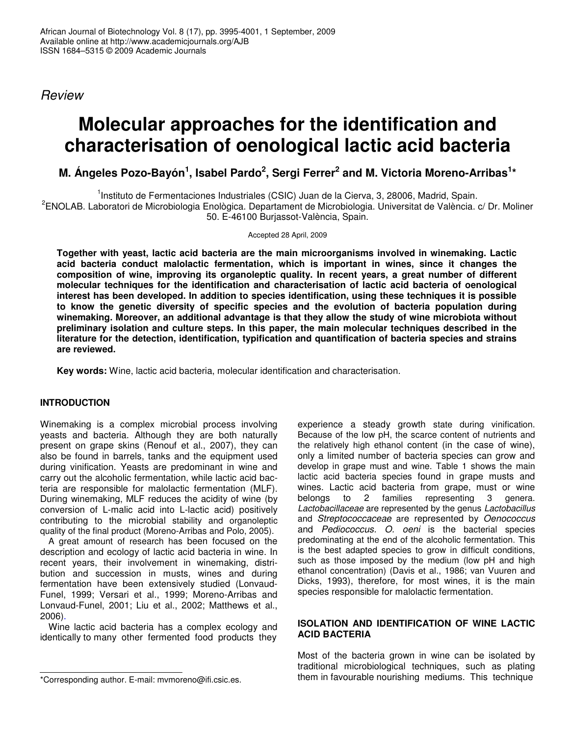*Review*

# **Molecular approaches for the identification and characterisation of oenological lactic acid bacteria**

# ${\bf M}.$  Ángeles Pozo-Bayón<sup>1</sup>, Isabel Pardo $^2$ , Sergi Ferrer $^2$  and M. Victoria Moreno-Arribas $^{1*}$

<sup>1</sup>Instituto de Fermentaciones Industriales (CSIC) Juan de la Cierva, 3, 28006, Madrid, Spain.

<sup>2</sup>ENOLAB. Laboratori de Microbiologia Enològica. Departament de Microbiologia. Universitat de València. c/ Dr. Moliner 50. E-46100 Burjassot-València, Spain.

Accepted 28 April, 2009

**Together with yeast, lactic acid bacteria are the main microorganisms involved in winemaking. Lactic acid bacteria conduct malolactic fermentation, which is important in wines, since it changes the composition of wine, improving its organoleptic quality. In recent years, a great number of different molecular techniques for the identification and characterisation of lactic acid bacteria of oenological interest has been developed. In addition to species identification, using these techniques it is possible to know the genetic diversity of specific species and the evolution of bacteria population during winemaking. Moreover, an additional advantage is that they allow the study of wine microbiota without preliminary isolation and culture steps. In this paper, the main molecular techniques described in the literature for the detection, identification, typification and quantification of bacteria species and strains are reviewed.**

**Key words:** Wine, lactic acid bacteria, molecular identification and characterisation.

# **INTRODUCTION**

Winemaking is a complex microbial process involving yeasts and bacteria. Although they are both naturally present on grape skins (Renouf et al., 2007), they can also be found in barrels, tanks and the equipment used during vinification. Yeasts are predominant in wine and carry out the alcoholic fermentation, while lactic acid bacteria are responsible for malolactic fermentation (MLF). During winemaking, MLF reduces the acidity of wine (by conversion of L-malic acid into L-lactic acid) positively contributing to the microbial stability and organoleptic quality of the final product (Moreno-Arribas and Polo, 2005).

A great amount of research has been focused on the description and ecology of lactic acid bacteria in wine. In recent years, their involvement in winemaking, distribution and succession in musts, wines and during fermentation have been extensively studied (Lonvaud-Funel, 1999; Versari et al., 1999; Moreno-Arribas and Lonvaud-Funel, 2001; Liu et al., 2002; Matthews et al., 2006).

Wine lactic acid bacteria has a complex ecology and identically to many other fermented food products they

experience a steady growth state during vinification. Because of the low pH, the scarce content of nutrients and the relatively high ethanol content (in the case of wine), only a limited number of bacteria species can grow and develop in grape must and wine. Table 1 shows the main lactic acid bacteria species found in grape musts and wines. Lactic acid bacteria from grape, must or wine belongs to 2 families representing 3 genera. *Lactobacillaceae* are represented by the genus *Lactobacillus* and *Streptococcaceae* are represented by *Oenococcus* and *Pediococcus. O. oeni* is the bacterial species predominating at the end of the alcoholic fermentation. This is the best adapted species to grow in difficult conditions, such as those imposed by the medium (low pH and high ethanol concentration) (Davis et al., 1986; van Vuuren and Dicks, 1993), therefore, for most wines, it is the main species responsible for malolactic fermentation.

## **ISOLATION AND IDENTIFICATION OF WINE LACTIC ACID BACTERIA**

Most of the bacteria grown in wine can be isolated by traditional microbiological techniques, such as plating them in favourable nourishing mediums. This technique

<sup>\*</sup>Corresponding author. E-mail: mvmoreno@ifi.csic.es.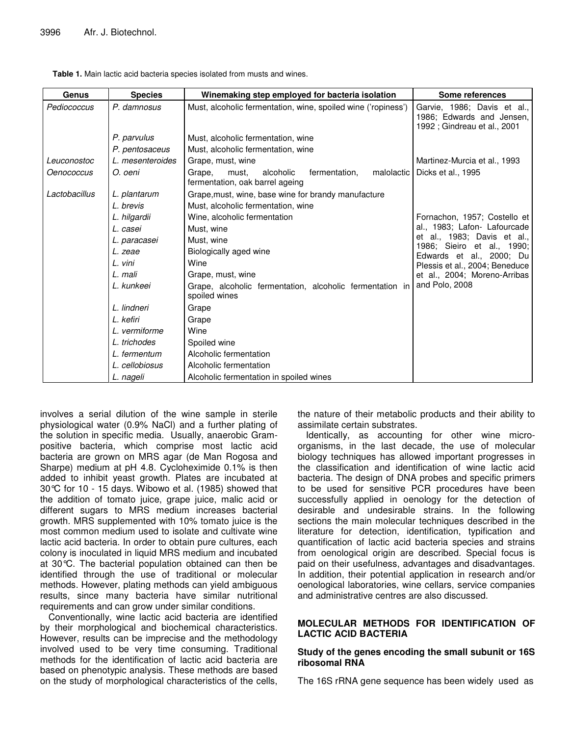| Genus         | <b>Species</b>   | Winemaking step employed for bacteria isolation                                                | Some references                                                                          |
|---------------|------------------|------------------------------------------------------------------------------------------------|------------------------------------------------------------------------------------------|
| Pediococcus   | P. damnosus      | Must, alcoholic fermentation, wine, spoiled wine ('ropiness')                                  | Garvie, 1986; Davis et al.,<br>1986; Edwards and Jensen,<br>1992 ; Gindreau et al., 2001 |
|               | P. parvulus      | Must, alcoholic fermentation, wine                                                             |                                                                                          |
|               | P. pentosaceus   | Must, alcoholic fermentation, wine                                                             |                                                                                          |
| Leuconostoc   | L. mesenteroides | Grape, must, wine                                                                              | Martinez-Murcia et al., 1993                                                             |
| Oenococcus    | O. oeni          | Grape,<br>alcoholic<br>fermentation,<br>malolactic<br>must.<br>fermentation, oak barrel ageing | Dicks et al., 1995                                                                       |
| Lactobacillus | L. plantarum     | Grape, must, wine, base wine for brandy manufacture                                            |                                                                                          |
|               | L. brevis        | Must, alcoholic fermentation, wine                                                             |                                                                                          |
|               | L. hilgardii     | Wine, alcoholic fermentation                                                                   | Fornachon, 1957; Costello et                                                             |
|               | L. casei         | Must, wine                                                                                     | al., 1983; Lafon- Lafourcade                                                             |
|               | L. paracasei     | Must, wine                                                                                     | et al., 1983; Davis et al.,                                                              |
|               | L. zeae          | Biologically aged wine                                                                         | 1986; Sieiro et al., 1990;<br>Edwards et al., 2000; Du                                   |
|               | L. vini          | Wine                                                                                           | Plessis et al., 2004; Beneduce                                                           |
|               | L. mali          | Grape, must, wine                                                                              | et al., 2004; Moreno-Arribas                                                             |
|               | L. kunkeei       | Grape, alcoholic fermentation, alcoholic fermentation in<br>spoiled wines                      | and Polo, 2008                                                                           |
|               | L. lindneri      | Grape                                                                                          |                                                                                          |
|               | L. kefiri        | Grape                                                                                          |                                                                                          |
|               | L. vermiforme    | Wine                                                                                           |                                                                                          |
|               | L. trichodes     | Spoiled wine                                                                                   |                                                                                          |
|               | L. fermentum     | Alcoholic fermentation                                                                         |                                                                                          |
|               | L. cellobiosus   | Alcoholic fermentation                                                                         |                                                                                          |
|               | L. nageli        | Alcoholic fermentation in spoiled wines                                                        |                                                                                          |

**Table 1.** Main lactic acid bacteria species isolated from musts and wines.

involves a serial dilution of the wine sample in sterile physiological water (0.9% NaCl) and a further plating of the solution in specific media. Usually, anaerobic Grampositive bacteria, which comprise most lactic acid bacteria are grown on MRS agar (de Man Rogosa and Sharpe) medium at pH 4.8. Cycloheximide 0.1% is then added to inhibit yeast growth. Plates are incubated at 30°C for 10 - 15 days. Wibowo et al. (1985) showed that the addition of tomato juice, grape juice, malic acid or different sugars to MRS medium increases bacterial growth. MRS supplemented with 10% tomato juice is the most common medium used to isolate and cultivate wine lactic acid bacteria. In order to obtain pure cultures, each colony is inoculated in liquid MRS medium and incubated at 30°C. The bacterial population obtained can then be identified through the use of traditional or molecular methods. However, plating methods can yield ambiguous results, since many bacteria have similar nutritional requirements and can grow under similar conditions.

Conventionally, wine lactic acid bacteria are identified by their morphological and biochemical characteristics. However, results can be imprecise and the methodology involved used to be very time consuming. Traditional methods for the identification of lactic acid bacteria are based on phenotypic analysis. These methods are based on the study of morphological characteristics of the cells,

the nature of their metabolic products and their ability to assimilate certain substrates.

Identically, as accounting for other wine microorganisms, in the last decade, the use of molecular biology techniques has allowed important progresses in the classification and identification of wine lactic acid bacteria. The design of DNA probes and specific primers to be used for sensitive PCR procedures have been successfully applied in oenology for the detection of desirable and undesirable strains. In the following sections the main molecular techniques described in the literature for detection, identification, typification and quantification of lactic acid bacteria species and strains from oenological origin are described. Special focus is paid on their usefulness, advantages and disadvantages. In addition, their potential application in research and/or oenological laboratories, wine cellars, service companies and administrative centres are also discussed.

## **MOLECULAR METHODS FOR IDENTIFICATION OF LACTIC ACID BACTERIA**

#### **Study of the genes encoding the small subunit or 16S ribosomal RNA**

The 16S rRNA gene sequence has been widely used as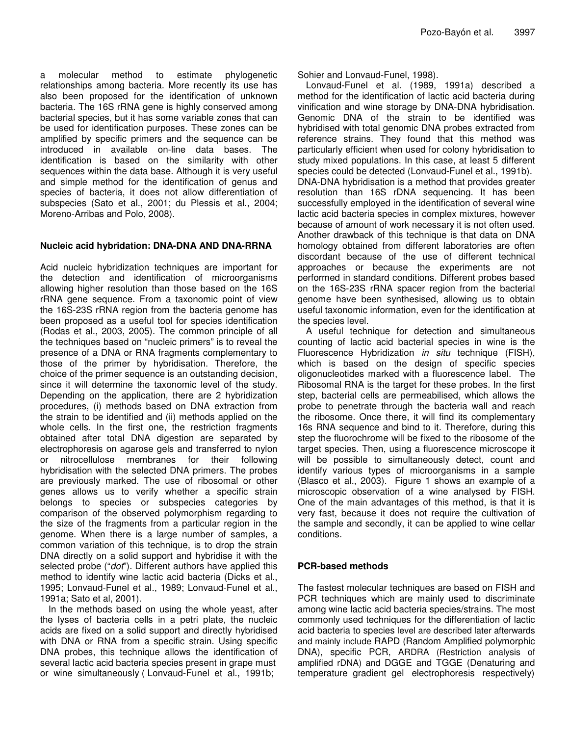a molecular method to estimate phylogenetic relationships among bacteria. More recently its use has also been proposed for the identification of unknown bacteria. The 16S rRNA gene is highly conserved among bacterial species, but it has some variable zones that can be used for identification purposes. These zones can be amplified by specific primers and the sequence can be introduced in available on-line data bases. The identification is based on the similarity with other sequences within the data base. Although it is very useful and simple method for the identification of genus and species of bacteria, it does not allow differentiation of subspecies (Sato et al., 2001; du Plessis et al., 2004; Moreno-Arribas and Polo, 2008).

#### **Nucleic acid hybridation: DNA-DNA AND DNA-RRNA**

Acid nucleic hybridization techniques are important for the detection and identification of microorganisms allowing higher resolution than those based on the 16S rRNA gene sequence. From a taxonomic point of view the 16S-23S rRNA region from the bacteria genome has been proposed as a useful tool for species identification (Rodas et al., 2003, 2005). The common principle of all the techniques based on "nucleic primers" is to reveal the presence of a DNA or RNA fragments complementary to those of the primer by hybridisation. Therefore, the choice of the primer sequence is an outstanding decision, since it will determine the taxonomic level of the study. Depending on the application, there are 2 hybridization procedures, (i) methods based on DNA extraction from the strain to be identified and (ii) methods applied on the whole cells. In the first one, the restriction fragments obtained after total DNA digestion are separated by electrophoresis on agarose gels and transferred to nylon or nitrocellulose membranes for their following hybridisation with the selected DNA primers. The probes are previously marked. The use of ribosomal or other genes allows us to verify whether a specific strain belongs to species or subspecies categories by comparison of the observed polymorphism regarding to the size of the fragments from a particular region in the genome. When there is a large number of samples, a common variation of this technique, is to drop the strain DNA directly on a solid support and hybridise it with the selected probe ("*dot*"). Different authors have applied this method to identify wine lactic acid bacteria (Dicks et al., 1995; Lonvaud-Funel et al., 1989; Lonvaud-Funel et al., 1991a; Sato et al, 2001).

In the methods based on using the whole yeast, after the lyses of bacteria cells in a petri plate, the nucleic acids are fixed on a solid support and directly hybridised with DNA or RNA from a specific strain. Using specific DNA probes, this technique allows the identification of several lactic acid bacteria species present in grape must or wine simultaneously ( Lonvaud-Funel et al., 1991b;

Sohier and Lonvaud-Funel, 1998).

Lonvaud-Funel et al. (1989, 1991a) described a method for the identification of lactic acid bacteria during vinification and wine storage by DNA-DNA hybridisation. Genomic DNA of the strain to be identified was hybridised with total genomic DNA probes extracted from reference strains. They found that this method was particularly efficient when used for colony hybridisation to study mixed populations. In this case, at least 5 different species could be detected (Lonvaud-Funel et al., 1991b). DNA-DNA hybridisation is a method that provides greater resolution than 16S rDNA sequencing. It has been successfully employed in the identification of several wine lactic acid bacteria species in complex mixtures, however because of amount of work necessary it is not often used. Another drawback of this technique is that data on DNA homology obtained from different laboratories are often discordant because of the use of different technical approaches or because the experiments are not performed in standard conditions. Different probes based on the 16S-23S rRNA spacer region from the bacterial genome have been synthesised, allowing us to obtain useful taxonomic information, even for the identification at the species level.

A useful technique for detection and simultaneous counting of lactic acid bacterial species in wine is the Fluorescence Hybridization *in situ* technique (FISH), which is based on the design of specific species oligonucleotides marked with a fluorescence label. The Ribosomal RNA is the target for these probes. In the first step, bacterial cells are permeabilised, which allows the probe to penetrate through the bacteria wall and reach the ribosome. Once there, it will find its complementary 16s RNA sequence and bind to it. Therefore, during this step the fluorochrome will be fixed to the ribosome of the target species. Then, using a fluorescence microscope it will be possible to simultaneously detect, count and identify various types of microorganisms in a sample (Blasco et al*.*, 2003). Figure 1 shows an example of a microscopic observation of a wine analysed by FISH. One of the main advantages of this method, is that it is very fast, because it does not require the cultivation of the sample and secondly, it can be applied to wine cellar conditions.

#### **PCR-based methods**

The fastest molecular techniques are based on FISH and PCR techniques which are mainly used to discriminate among wine lactic acid bacteria species/strains. The most commonly used techniques for the differentiation of lactic acid bacteria to species level are described later afterwards and mainly include RAPD (Random Amplified polymorphic DNA), specific PCR, ARDRA (Restriction analysis of amplified rDNA) and DGGE and TGGE (Denaturing and temperature gradient gel electrophoresis respectively)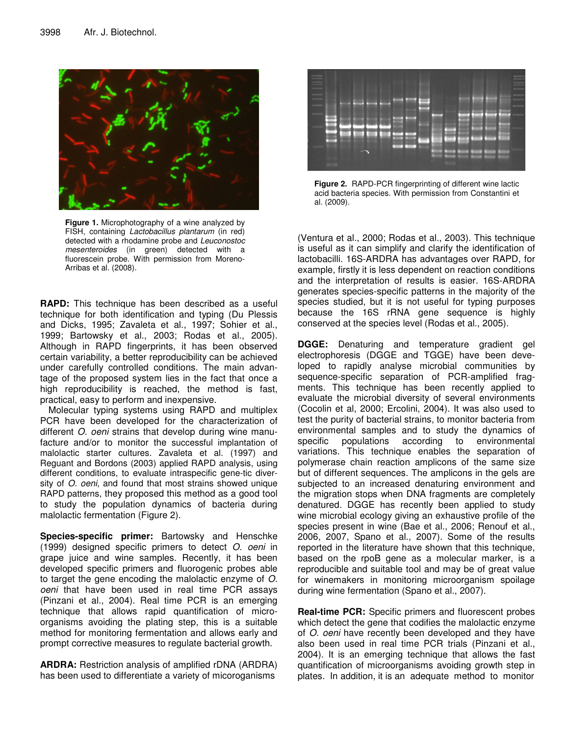

**Figure 1.** Microphotography of a wine analyzed by FISH, containing *Lactobacillus plantarum* (in red) detected with a rhodamine probe and *Leuconostoc mesenteroides* (in green) detected with a fluorescein probe. With permission from Moreno-Arribas et al. (2008).

**RAPD:** This technique has been described as a useful technique for both identification and typing (Du Plessis and Dicks, 1995; Zavaleta et al., 1997; Sohier et al., 1999; Bartowsky et al., 2003; Rodas et al., 2005). Although in RAPD fingerprints, it has been observed certain variability, a better reproducibility can be achieved under carefully controlled conditions. The main advantage of the proposed system lies in the fact that once a high reproducibility is reached, the method is fast, practical, easy to perform and inexpensive.

Molecular typing systems using RAPD and multiplex PCR have been developed for the characterization of different *O. oeni* strains that develop during wine manufacture and/or to monitor the successful implantation of malolactic starter cultures. Zavaleta et al. (1997) and Reguant and Bordons (2003) applied RAPD analysis, using different conditions, to evaluate intraspecific gene-tic diversity of *O. oeni*, and found that most strains showed unique RAPD patterns, they proposed this method as a good tool to study the population dynamics of bacteria during malolactic fermentation (Figure 2).

**Species-specific primer:** Bartowsky and Henschke (1999) designed specific primers to detect *O. oeni* in grape juice and wine samples. Recently, it has been developed specific primers and fluorogenic probes able to target the gene encoding the malolactic enzyme of *O. oeni* that have been used in real time PCR assays (Pinzani et al., 2004). Real time PCR is an emerging technique that allows rapid quantification of microorganisms avoiding the plating step, this is a suitable method for monitoring fermentation and allows early and prompt corrective measures to regulate bacterial growth.

**ARDRA:** Restriction analysis of amplified rDNA (ARDRA) has been used to differentiate a variety of micoroganisms



**Figure 2.** RAPD-PCR fingerprinting of different wine lactic acid bacteria species. With permission from Constantini et al. (2009).

(Ventura et al., 2000; Rodas et al., 2003). This technique is useful as it can simplify and clarify the identification of lactobacilli. 16S-ARDRA has advantages over RAPD, for example, firstly it is less dependent on reaction conditions and the interpretation of results is easier. 16S-ARDRA generates species-specific patterns in the majority of the species studied, but it is not useful for typing purposes because the 16S rRNA gene sequence is highly conserved at the species level (Rodas et al., 2005).

**DGGE:** Denaturing and temperature gradient gel electrophoresis (DGGE and TGGE) have been developed to rapidly analyse microbial communities by sequence-specific separation of PCR-amplified fragments. This technique has been recently applied to evaluate the microbial diversity of several environments (Cocolin et al, 2000; Ercolini, 2004). It was also used to test the purity of bacterial strains, to monitor bacteria from environmental samples and to study the dynamics of specific populations according to environmental variations. This technique enables the separation of polymerase chain reaction amplicons of the same size but of different sequences. The amplicons in the gels are subjected to an increased denaturing environment and the migration stops when DNA fragments are completely denatured. DGGE has recently been applied to study wine microbial ecology giving an exhaustive profile of the species present in wine (Bae et al., 2006; Renouf et al., 2006, 2007, Spano et al., 2007). Some of the results reported in the literature have shown that this technique, based on the rpoB gene as a molecular marker, is a reproducible and suitable tool and may be of great value for winemakers in monitoring microorganism spoilage during wine fermentation (Spano et al., 2007).

**Real-time PCR:** Specific primers and fluorescent probes which detect the gene that codifies the malolactic enzyme of *O. oeni* have recently been developed and they have also been used in real time PCR trials (Pinzani et al., 2004). It is an emerging technique that allows the fast quantification of microorganisms avoiding growth step in plates. In addition, it is an adequate method to monitor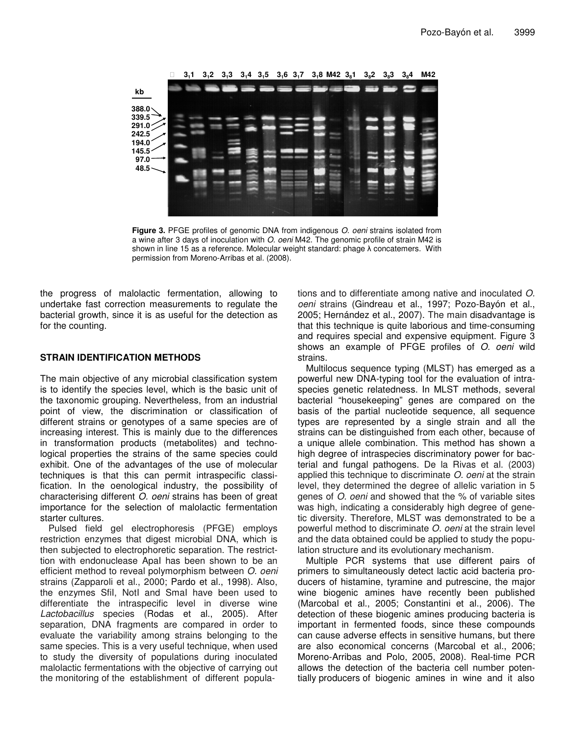

**Figure 3.** PFGE profiles of genomic DNA from indigenous *O. oeni* strains isolated from a wine after 3 days of inoculation with *O. oeni* M42. The genomic profile of strain M42 is shown in line 15 as a reference. Molecular weight standard: phage  $\lambda$  concatemers. With permission from Moreno-Arribas et al. (2008).

the progress of malolactic fermentation, allowing to undertake fast correction measurements to regulate the bacterial growth, since it is as useful for the detection as for the counting.

#### **STRAIN IDENTIFICATION METHODS**

The main objective of any microbial classification system is to identify the species level, which is the basic unit of the taxonomic grouping. Nevertheless, from an industrial point of view, the discrimination or classification of different strains or genotypes of a same species are of increasing interest. This is mainly due to the differences in transformation products (metabolites) and technological properties the strains of the same species could exhibit. One of the advantages of the use of molecular techniques is that this can permit intraspecific classification. In the oenological industry, the possibility of characterising different *O. oeni* strains has been of great importance for the selection of malolactic fermentation starter cultures.

Pulsed field gel electrophoresis (PFGE) employs restriction enzymes that digest microbial DNA, which is then subjected to electrophoretic separation. The restricttion with endonuclease ApaI has been shown to be an efficient method to reveal polymorphism between *O. oeni* strains (Zapparoli et al., 2000; Pardo et al., 1998). Also, the enzymes SfiI, NotI and SmaI have been used to differentiate the intraspecific level in diverse wine *Lactobacillus* species (Rodas et al., 2005). After separation, DNA fragments are compared in order to evaluate the variability among strains belonging to the same species. This is a very useful technique, when used to study the diversity of populations during inoculated malolactic fermentations with the objective of carrying out the monitoring of the establishment of different populations and to differentiate among native and inoculated *O. oeni* strains (Gindreau et al., 1997; Pozo-Bayón et al., 2005; Hernández et al., 2007). The main disadvantage is that this technique is quite laborious and time-consuming and requires special and expensive equipment. Figure 3 shows an example of PFGE profiles of *O. oeni* wild strains.

Multilocus sequence typing (MLST) has emerged as a powerful new DNA-typing tool for the evaluation of intraspecies genetic relatedness. In MLST methods, several bacterial "housekeeping" genes are compared on the basis of the partial nucleotide sequence, all sequence types are represented by a single strain and all the strains can be distinguished from each other, because of a unique allele combination. This method has shown a high degree of intraspecies discriminatory power for bacterial and fungal pathogens. De la Rivas et al. (2003) applied this technique to discriminate *O. oeni* at the strain level, they determined the degree of allelic variation in 5 genes of *O. oeni* and showed that the % of variable sites was high, indicating a considerably high degree of genetic diversity. Therefore, MLST was demonstrated to be a powerful method to discriminate *O. oeni* at the strain level and the data obtained could be applied to study the population structure and its evolutionary mechanism.

Multiple PCR systems that use different pairs of primers to simultaneously detect lactic acid bacteria producers of histamine, tyramine and putrescine, the major wine biogenic amines have recently been published (Marcobal et al., 2005; Constantini et al., 2006). The detection of these biogenic amines producing bacteria is important in fermented foods, since these compounds can cause adverse effects in sensitive humans, but there are also economical concerns (Marcobal et al., 2006; Moreno-Arribas and Polo, 2005, 2008). Real-time PCR allows the detection of the bacteria cell number potentially producers of biogenic amines in wine and it also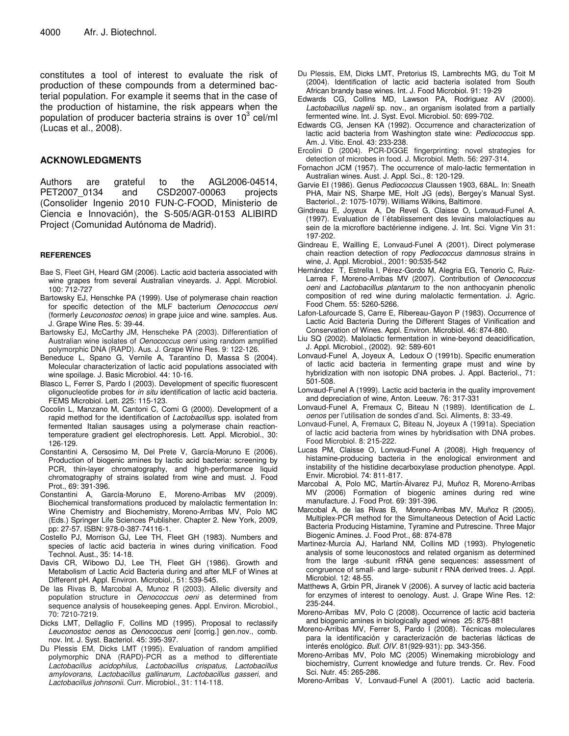constitutes a tool of interest to evaluate the risk of production of these compounds from a determined bacterial population. For example it seems that in the case of the production of histamine, the risk appears when the population of producer bacteria strains is over 10 $^3$  cel/ml (Lucas et al., 2008).

#### **ACKNOWLEDGMENTS**

Authors are grateful to the AGL2006-04514, PET2007\_0134 and CSD2007-00063 projects (Consolider Ingenio 2010 FUN-C-FOOD, Ministerio de Ciencia e Innovación), the S-505/AGR-0153 ALIBIRD Project (Comunidad Autónoma de Madrid).

#### **REFERENCES**

- Bae S, Fleet GH, Heard GM (2006). Lactic acid bacteria associated with wine grapes from several Australian vineyards. J. Appl. Microbiol. 100: 712-727
- Bartowsky EJ, Henschke PA (1999). Use of polymerase chain reaction for specific detection of the MLF bacterium *Oenococcus oeni* (formerly *Leuconostoc oenos*) in grape juice and wine. samples. Aus. J. Grape Wine Res. 5: 39-44.
- Bartowsky EJ, McCarthy JM, Henscheke PA (2003). Differentiation of Australian wine isolates of *Oenococcus oeni* using random amplified polymorphic DNA (RAPD). Aus. J. Grape Wine Res. 9: 122-126.
- Beneduce L, Spano G, Vernile A, Tarantino D, Massa S (2004). Molecular characterization of lactic acid populations associated with wine spoilage. J. Basic Microbiol. 44: 10-16.
- Blasco L, Ferrer S, Pardo I (2003). Development of specific fluorescent oligonucleotide probes for *in situ* identification of lactic acid bacteria. FEMS Microbiol. Lett. 225: 115-123.
- Cocolin L, Manzano M, Cantoni C, Comi G (2000). Development of a rapid method for the identification of *Lactobacillus* spp. isolated from fermented Italian sausages using a polymerase chain reactiontemperature gradient gel electrophoresis. Lett. Appl. Microbiol., 30: 126-129.
- Constantini A, Cersosimo M, Del Prete V, García-Moruno E (2006). Production of biogenic amines by lactic acid bacteria: screening by PCR, thin-layer chromatography, and high-performance liquid chromatography of strains isolated from wine and must. J. Food Prot., 69: 391-396.
- Constantini A, García-Moruno E, Moreno-Arribas MV (2009). Biochemical transformations produced by malolactic fermentation In: Wine Chemistry and Biochemistry, Moreno-Arribas MV, Polo MC (Eds.) Springer Life Sciences Publisher. Chapter 2. New York, 2009, pp: 27-57. ISBN: 978-0-387-74116-1.
- Costello PJ, Morrison GJ, Lee TH, Fleet GH (1983). Numbers and species of lactic acid bacteria in wines during vinification. Food Technol. Aust., 35: 14-18.
- Davis CR, Wibowo DJ, Lee TH, Fleet GH (1986). Growth and Metabolism of Lactic Acid Bacteria during and after MLF of Wines at Different pH. Appl. Environ. Microbiol., 51: 539-545.
- De las Rivas B, Marcobal A, Munoz R (2003). Allelic diversity and population structure in *Oenococcus oeni* as determined from sequence analysis of housekeeping genes. Appl. Environ. Microbiol., 70: 7210-7219.
- Dicks LMT, Dellaglio F, Collins MD (1995). Proposal to reclassify *Leuconostoc oenos* as *Oenococcus oeni* [corrig.] gen.nov., comb. nov. Int. J. Syst. Bacteriol. 45: 395-397.
- Du Plessis EM, Dicks LMT (1995). Evaluation of random amplified polymorphic DNA (RAPD)-PCR as a method to differentiate *Lactobacillus acidophilus, Lactobacillus crispatus, Lactobacillus amylovorans, Lactobacillus gallinarum, Lactobacillus gasseri*, and *Lactobacillus johnsonii*. Curr. Microbiol., 31: 114-118.
- Du Plessis, EM, Dicks LMT, Pretorius IS, Lambrechts MG, du Toit M (2004). Identification of lactic acid bacteria isolated from South African brandy base wines. Int. J. Food Microbiol. 91: 19-29
- Edwards CG, Collins MD, Lawson PA, Rodriguez AV (2000). *Lactobacillus nagelii* sp. nov., an organism isolated from a partially fermented wine. Int. J. Syst. Evol. Microbiol. 50: 699-702.
- Edwards CG, Jensen KA (1992). Occurrence and characterization of lactic acid bacteria from Washington state wine: *Pediococcus* spp. Am. J. Vitic. Enol. 43: 233-238.
- Ercolini D (2004). PCR-DGGE fingerprinting: novel strategies for detection of microbes in food. J. Microbiol. Meth. 56: 297-314.
- Fornachon JCM (1957). The occurrence of malo-lactic fermentation in Australian wines. Aust. J. Appl. Sci*.*, 8: 120-129.
- Garvie EI (1986). Genus *Pediococcus* Claussen 1903, 68AL. In: Sneath PHA, Mair NS, Sharpe ME, Holt JG (eds), Bergey's Manual Syst. Bacteriol., 2: 1075-1079). Williams Wilkins, Baltimore.
- Gindreau E, Joyeux A, De Revel G, Claisse O, Lonvaud-Funel A. (1997). Evaluation de l´établissement des levains malolactiques au sein de la microflore bactérienne indigene. J. Int. Sci. Vigne Vin 31: 197-202.
- Gindreau E, Wailling E, Lonvaud-Funel A (2001). Direct polymerase chain reaction detection of ropy *Pediococcus damnosus* strains in wine, J. Appl. Microbiol., 2001: 90:535-542
- Hernández T, Estrella I, Pérez-Gordo M, Alegria EG, Tenorio C, Ruiz-Larrea F, Moreno-Arribas MV (2007). Contribution of *Oenococcus oeni* and *Lactobacillus plantarum* to the non anthocyanin phenolic composition of red wine during malolactic fermentation. J. Agric. Food Chem. 55: 5260-5266.
- Lafon-Lafourcade S, Carre E, Ribereau-Gayon P (1983). Occurrence of Lactic Acid Bacteria During the Different Stages of Vinification and Conservation of Wines. Appl. Environ. Microbiol. 46: 874-880.
- Liu SQ (2002). Malolactic fermentation in wine-beyond deacidification, J. Appl. Microbiol., (2002). 92: 589-601
- Lonvaud-Funel A, Joyeux A, Ledoux O (1991b). Specific enumeration of lactic acid bacteria in fermenting grape must and wine by hybridization with non isotopic DNA probes. J. Appl. Bacteriol., 71: 501-508.
- Lonvaud-Funel A (1999). Lactic acid bacteria in the quality improvement and depreciation of wine, Anton. Leeuw. 76: 317-331
- Lonvaud-Funel A, Fremaux C, Biteau N (1989). Identification de *L. oenos* per l'utilisation de sondes d'and. Sci. Aliments, 8: 33-49.
- Lonvaud-Funel, A, Fremaux C, Biteau N, Joyeux A (1991a). Speciation of lactic acid bacteria from wines by hybridisation with DNA probes. Food Microbiol. 8: 215-222.
- Lucas PM, Claisse O, Lonvaud-Funel A (2008). High frequency of histamine-producing bacteria in the enological environment and instability of the histidine decarboxylase production phenotype. Appl. Envir. Microbiol. 74: 811-817.
- Marcobal A, Polo MC, Martín-Álvarez PJ, Muñoz R, Moreno-Arribas MV (2006) Formation of biogenic amines during red wine manufacture. J. Food Prot. 69: 391-396.
- Marcobal A, de las Rivas B, Moreno-Arribas MV, Muñoz R (2005). Multiplex-PCR method for the Simultaneous Detection of Acid Lactic Bacteria Producing Histamine, Tyramine and Putrescine. Three Major Biogenic Amines. J. Food Prot., 68: 874-878
- Martinez-Murcia AJ, Harland NM, Collins MD (1993). Phylogenetic analysis of some leuconostocs and related organism as determined from the large -subunit rRNA gene sequences: assessment of congruence of small- and large- subunit r RNA derived trees*.* J. Appl. Microbiol. 12: 48-55.
- Matthews A, Grbin PR, Jiranek V (2006). A survey of lactic acid bacteria for enzymes of interest to oenology. Aust. J. Grape Wine Res. 12: 235-244.
- Moreno-Arribas MV, Polo C (2008). Occurrence of lactic acid bacteria and biogenic amines in biologically aged wines 25: 875-881
- Moreno-Arribas MV, Ferrer S, Pardo I (2008). Técnicas moleculares para la identificación y caracterización de bacterias lácticas de interés enológico. *Bull. OIV.* 81(929-931): pp. 343-356.
- Moreno-Arribas MV, Polo MC (2005) Winemaking microbiology and biochemistry, Current knowledge and future trends. Cr. Rev. Food Sci. Nutr. 45: 265-286.
- Moreno-Arribas V, Lonvaud-Funel A (2001). Lactic acid bacteria.